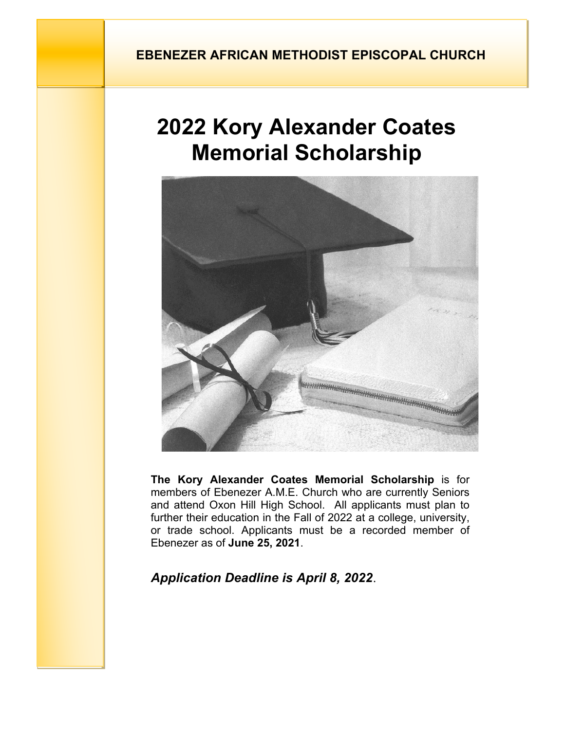## **EBENEZER AFRICAN METHODIST EPISCOPAL CHURCH**

# **2022 Kory Alexander Coates Memorial Scholarship**



**The Kory Alexander Coates Memorial Scholarship** is for members of Ebenezer A.M.E. Church who are currently Seniors and attend Oxon Hill High School. All applicants must plan to further their education in the Fall of 2022 at a college, university, or trade school. Applicants must be a recorded member of Ebenezer as of **June 25, 2021**.

## *Application Deadline is April 8, 2022.*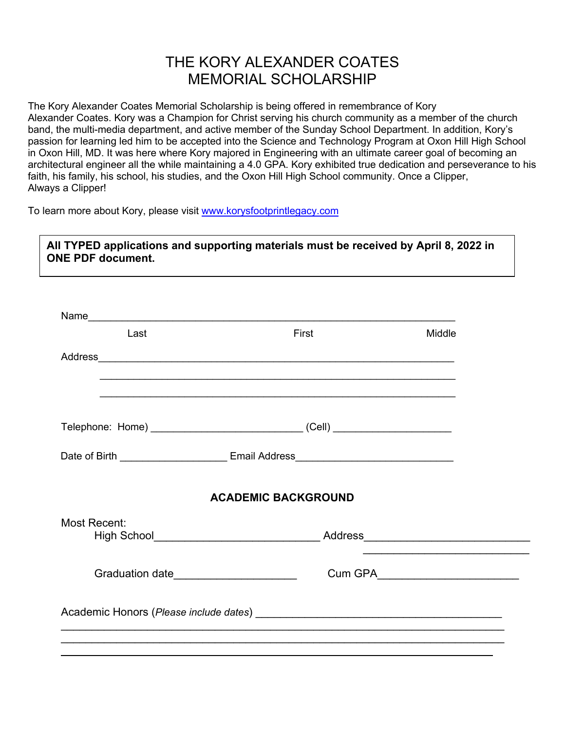# THE KORY ALEXANDER COATES MEMORIAL SCHOLARSHIP

The Kory Alexander Coates Memorial Scholarship is being offered in remembrance of Kory Alexander Coates. Kory was a Champion for Christ serving his church community as a member of the church band, the multi-media department, and active member of the Sunday School Department. In addition, Kory's passion for learning led him to be accepted into the Science and Technology Program at Oxon Hill High School in Oxon Hill, MD. It was here where Kory majored in Engineering with an ultimate career goal of becoming an architectural engineer all the while maintaining a 4.0 GPA. Kory exhibited true dedication and perseverance to his faith, his family, his school, his studies, and the Oxon Hill High School community. Once a Clipper, Always a Clipper!

To learn more about Kory, please visit www.korysfootprintlegacy.com

**All TYPED applications and supporting materials must be received by April 8, 2022 in ONE PDF document.**

| Last                                   | First                                                                            | Middle |
|----------------------------------------|----------------------------------------------------------------------------------|--------|
|                                        |                                                                                  |        |
|                                        |                                                                                  |        |
|                                        | Telephone: Home) __________________________________(Cell) ______________________ |        |
|                                        |                                                                                  |        |
|                                        | <b>ACADEMIC BACKGROUND</b>                                                       |        |
| Most Recent:                           |                                                                                  |        |
|                                        | High School__________________________________Address____________________________ |        |
| Graduation date_______________________ |                                                                                  |        |
|                                        |                                                                                  |        |